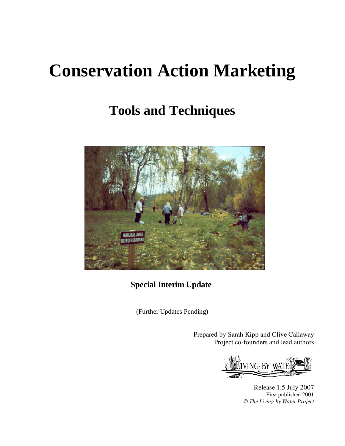# **Conservation Action Marketing**

## **Tools and Techniques**



**Special Interim Update**

(Further Updates Pending)

Prepared by Sarah Kipp and Clive Callaway Project co-founders and lead authors

IVING BY WAT an T

Release 1.5 July 2007 First published 2001 © *The Living by Water Project*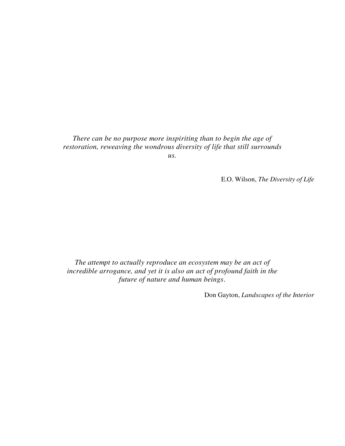## *There can be no purpose more inspiriting than to begin the age of restoration, reweaving the wondrous diversity of life that still surrounds*

*us.*

E.O. Wilson, *The Diversity of Life*

*The attempt to actually reproduce an ecosystem may be an act of incredible arrogance, and yet it is also an act of profound faith in the future of nature and human beings*.

Don Gayton, *Landscapes of the Interior*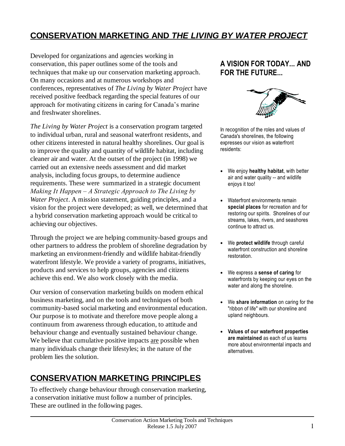## **CONSERVATION MARKETING AND** *THE LIVING BY WATER PROJECT*

Developed for organizations and agencies working in conservation, this paper outlines some of the tools and techniques that make up our conservation marketing approach. On many occasions and at numerous workshops and conferences, representatives of *The Living by Water Project* have received positive feedback regarding the special features of our approach for motivating citizens in caring for Canada's marine and freshwater shorelines.

*The Living by Water Project* is a conservation program targeted to individual urban, rural and seasonal waterfront residents, and other citizens interested in natural healthy shorelines. Our goal is to improve the quality and quantity of wildlife habitat, including cleaner air and water. At the outset of the project (in 1998) we carried out an extensive needs assessment and did market analysis, including focus groups, to determine audience requirements. These were summarized in a strategic document *Making It Happen – A Strategic Approach to The Living by Water Project*. A mission statement, guiding principles, and a vision for the project were developed; as well, we determined that a hybrid conservation marketing approach would be critical to achieving our objectives.

Through the project we are helping community-based groups and other partners to address the problem of shoreline degradation by marketing an environment-friendly and wildlife habitat-friendly waterfront lifestyle. We provide a variety of programs, initiatives, products and services to help groups, agencies and citizens achieve this end. We also work closely with the media.

Our version of conservation marketing builds on modern ethical business marketing, and on the tools and techniques of both community-based social marketing and environmental education. Our purpose is to motivate and therefore move people along a continuum from awareness through education, to attitude and behaviour change and eventually sustained behaviour change. We believe that cumulative positive impacts are possible when many individuals change their lifestyles; in the nature of the problem lies the solution.

## **CONSERVATION MARKETING PRINCIPLES**

To effectively change behaviour through conservation marketing, a conservation initiative must follow a number of principles. These are outlined in the following pages.

### **A VISION FOR TODAY... AND FOR THE FUTURE...**



In recognition of the roles and values of Canada's shorelines, the following expresses our vision as waterfront residents:

- We enjoy **healthy habitat**, with better air and water quality -- and wildlife enjoys it too!
- Waterfront environments remain **special places** for recreation and for restoring our spirits. Shorelines of our streams, lakes, rivers, and seashores continue to attract us.
- We **protect wildlife** through careful waterfront construction and shoreline restoration.
- We express a **sense of caring** for waterfronts by keeping our eyes on the water and along the shoreline.
- We **share information** on caring for the "ribbon of life" with our shoreline and upland neighbours.
- **Values of our waterfront properties are maintained** as each of us learns more about environmental impacts and alternatives.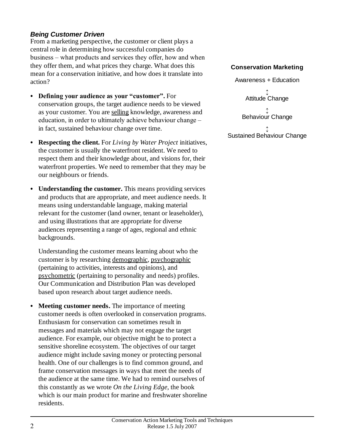#### *Being Customer Driven*

From a marketing perspective, the customer or client plays a central role in determining how successful companies do business – what products and services they offer, how and when they offer them, and what prices they charge. What does this mean for a conservation initiative, and how does it translate into action?

- Defining your audience as your "customer". For conservation groups, the target audience needs to be viewed as your customer. You are selling knowledge, awareness and education, in order to ultimately achieve behaviour change – in fact, sustained behaviour change over time.
- **Respecting the client.** For *Living by Water Project* initiatives, the customer is usually the waterfront resident. We need to respect them and their knowledge about, and visions for, their waterfront properties. We need to remember that they may be our neighbours or friends.
- **Understanding the customer.** This means providing services and products that are appropriate, and meet audience needs. It means using understandable language, making material relevant for the customer (land owner, tenant or leaseholder), and using illustrations that are appropriate for diverse audiences representing a range of ages, regional and ethnic backgrounds.

Understanding the customer means learning about who the customer is by researching demographic, psychographic (pertaining to activities, interests and opinions), and psychometric (pertaining to personality and needs) profiles. Our Communication and Distribution Plan was developed based upon research about target audience needs.

**Meeting customer needs.** The importance of meeting customer needs is often overlooked in conservation programs. Enthusiasm for conservation can sometimes result in messages and materials which may not engage the target audience. For example, our objective might be to protect a sensitive shoreline ecosystem. The objectives of our target audience might include saving money or protecting personal health. One of our challenges is to find common ground, and frame conservation messages in ways that meet the needs of the audience at the same time. We had to remind ourselves of this constantly as we wrote *On the Living Edge*, the book which is our main product for marine and freshwater shoreline residents.

#### **Conservation Marketing**

Awareness + Education

 $\updownarrow$ Attitude Change

 $\updownarrow$ Behaviour Change

 $\updownarrow$ Sustained Behaviour Change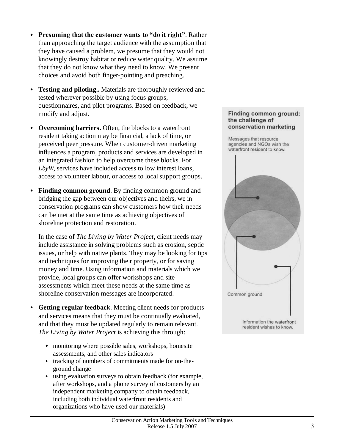- Presuming that the customer wants to "do it right". Rather than approaching the target audience with the assumption that they have caused a problem, we presume that they would not knowingly destroy habitat or reduce water quality. We assume that they do not know what they need to know. We present choices and avoid both finger-pointing and preaching.
- **Testing and piloting..** Materials are thoroughly reviewed and tested wherever possible by using focus groups, questionnaires, and pilot programs. Based on feedback, we modify and adjust.
- **Overcoming barriers.** Often, the blocks to a waterfront resident taking action may be financial, a lack of time, or perceived peer pressure. When customer-driven marketing influences a program, products and services are developed in an integrated fashion to help overcome these blocks. For *LbyW*, services have included access to low interest loans, access to volunteer labour, or access to local support groups.
- **Finding common ground**. By finding common ground and bridging the gap between our objectives and theirs, we in conservation programs can show customers how their needs can be met at the same time as achieving objectives of shoreline protection and restoration.

In the case of *The Living by Water Project*, client needs may include assistance in solving problems such as erosion, septic issues, or help with native plants. They may be looking for tips and techniques for improving their property, or for saving money and time. Using information and materials which we provide, local groups can offer workshops and site assessments which meet these needs at the same time as shoreline conservation messages are incorporated.

- **Getting regular feedback**. Meeting client needs for products and services means that they must be continually evaluated, and that they must be updated regularly to remain relevant. *The Living by Water Project* is achieving this through:
	- monitoring where possible sales, workshops, homesite assessments, and other sales indicators
	- tracking of numbers of commitments made for on-theground change
	- using evaluation surveys to obtain feedback (for example, after workshops, and a phone survey of customers by an independent marketing company to obtain feedback, including both individual waterfront residents and organizations who have used our materials)

#### Finding common ground: the challenge of conservation marketing

Messages that resource agencies and NGOs wish the waterfront resident to know.

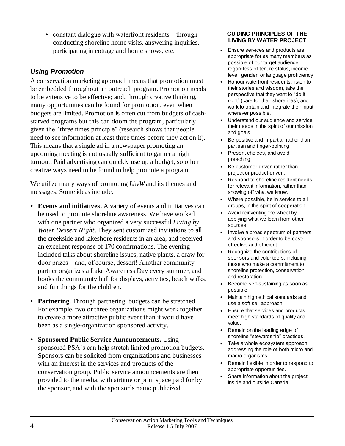• constant dialogue with waterfront residents – through conducting shoreline home visits, answering inquiries, participating in cottage and home shows, etc.

#### *Using Promotion*

A conservation marketing approach means that promotion must be embedded throughout an outreach program. Promotion needs to be extensive to be effective; and, through creative thinking, many opportunities can be found for promotion, even when budgets are limited. Promotion is often cut from budgets of cashstarved programs but this can doom the program, particularly given the "three times principle" (research shows that people need to see information at least three times before they act on it). This means that a single ad in a newspaper promoting an upcoming meeting is not usually sufficient to garner a high turnout. Paid advertising can quickly use up a budget, so other creative ways need to be found to help promote a program.

We utilize many ways of promoting *LbyW* and its themes and messages. Some ideas include:

- **Events and initiatives.** A variety of events and initiatives can be used to promote shoreline awareness. We have worked with one partner who organized a very successful *Living by Water Dessert Night*. They sent customized invitations to all the creekside and lakeshore residents in an area, and received an excellent response of 170 confirmations. The evening included talks about shoreline issues, native plants, a draw for door prizes – and, of course, dessert! Another community partner organizes a Lake Awareness Day every summer, and books the community hall for displays, activities, beach walks, and fun things for the children.
- **Partnering**. Through partnering, budgets can be stretched. For example, two or three organizations might work together to create a more attractive public event than it would have been as a single-organization sponsored activity.
- **Sponsored Public Service Announcements.** Using sponsored PSA's can help stretch limited promotion budgets. Sponsors can be solicited from organizations and businesses with an interest in the services and products of the conservation group. Public service announcements are then provided to the media, with airtime or print space paid for by the sponsor, and with the sponsor's name publicized

#### **GUIDING PRINCIPLES OF THE LIVING BY WATER PROJECT**

- Ensure services and products are appropriate for as many members as possible of our target audience, regardless of tenure status, income level, gender, or language proficiency
- Honour waterfront residents, listen to their stories and wisdom, take the perspective that they want to "do it right" (care for their shorelines), and work to obtain and integrate their input wherever possible.
- Understand our audience and service their needs in the spirit of our mission and goals.
- Be positive and impartial, rather than partisan and finger-pointing.
- Present choices, and avoid preaching.
- Be customer-driven rather than project or product-driven.
- Respond to shoreline resident needs for relevant information, rather than showing off what we know.
- Where possible, be in service to all groups, in the spirit of cooperation.
- Avoid reinventing the wheel by applying what we learn from other sources.
- Involve a broad spectrum of partners and sponsors in order to be costeffective and efficient.
- Recognize the contributions of sponsors and volunteers, including those who make a commitment to shoreline protection, conservation and restoration.
- Become self-sustaining as soon as possible.
- Maintain high ethical standards and use a soft sell approach.
- Ensure that services and products meet high standards of quality and value.
- Remain on the leading edge of shoreline "stewardship" practices.
- Take a whole ecosystem approach, addressing the role of both micro and macro organisms.
- Remain flexible in order to respond to appropriate opportunities.
- Share information about the project, inside and outside Canada.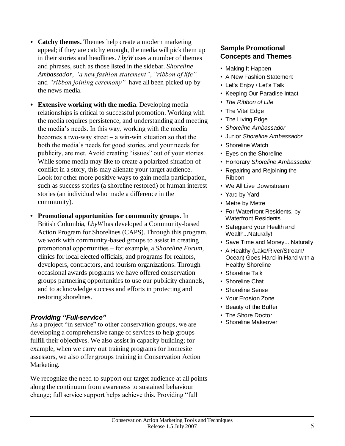- **Catchy themes.** Themes help create a modern marketing appeal; if they are catchy enough, the media will pick them up in their stories and headlines. *LbyW* uses a number of themes and phrases, such as those listed in the sidebar. *Shoreline Ambassador*, *"anewfashionstatement"*, *"ribbonoflife"* and *"ribbon joining ceremony"* have all been picked up by the news media.
- **Extensive working with the media**. Developing media relationships is critical to successful promotion. Working with the media requires persistence, and understanding and meeting the media's needs. In this way, working with the media becomes a two-way street – a win-win situation so that the both the media's needs for good stories, and your needs for publicity, are met. Avoid creating "issues" out of your stories. While some media may like to create a polarized situation of conflict in a story, this may alienate your target audience. Look for other more positive ways to gain media participation, such as success stories (a shoreline restored) or human interest stories (an individual who made a difference in the community).
- **•Promotional opportunities for community groups.** In British Columbia, *LbyW* has developed a Community-based Action Program for Shorelines (CAPS). Through this program, we work with community-based groups to assist in creating promotional opportunities – for example, a *Shoreline Forum*, clinics for local elected officials, and programs for realtors, developers, contractors, and tourism organizations. Through occasional awards programs we have offered conservation groups partnering opportunities to use our publicity channels, and to acknowledge success and efforts in protecting and restoring shorelines.

#### *Providing"Full-service"*

As a project "in service" to other conservation groups, we are developing a comprehensive range of services to help groups fulfill their objectives. We also assist in capacity building; for example, when we carry out training programs for homesite assessors, we also offer groups training in Conservation Action Marketing.

We recognize the need to support our target audience at all points along the continuum from awareness to sustained behaviour change; full service support helps achieve this. Providing "full

#### **Sample Promotional Concepts and Themes**

- Making It Happen
- •A New Fashion Statement
- Let's Enjoy / Let's Talk
- Keeping Our Paradise Intact
- •*The Ribbon of Life*
- The Vital Edge
- The Living Edge
- •*Shoreline Ambassador*
- •Junior *Shoreline Ambassador*
- Shoreline Watch
- •Eyes on the Shoreline
- •Honorary *Shoreline Ambassador*
- •Repairing and Rejoining the Ribbon
- •We All Live Downstream
- •Yard by Yard
- Metre by Metre
- For Waterfront Residents, by Waterfront Residents
- •Safeguard your Health and Wealth...Naturally!
- •Save Time and Money... Naturally
- A Healthy (Lake/River/Stream/ Ocean) Goes Hand-in-Hand with a Healthy Shoreline
- •Shoreline Talk
- •Shoreline Chat
- •Shoreline Sense
- •Your Erosion Zone
- •Beauty of the Buffer
- •The Shore Doctor
- •Shoreline Makeover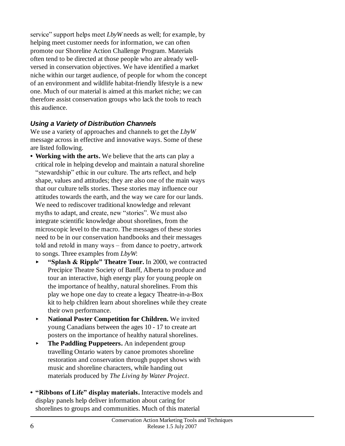service" support helps meet *LbyW* needs as well; for example, by helping meet customer needs for information, we can often promote our Shoreline Action Challenge Program. Materials often tend to be directed at those people who are already wellversed in conservation objectives. We have identified a market niche within our target audience, of people for whom the concept of an environment and wildlife habitat-friendly lifestyle is a new one. Much of our material is aimed at this market niche; we can therefore assist conservation groups who lack the tools to reach this audience.

#### *Using a Variety of Distribution Channels*

We use a variety of approaches and channels to get the *LbyW* message across in effective and innovative ways. Some of these are listed following.

- **•Working with the arts.** We believe that the arts can play a critical role in helping develop and maintain a natural shoreline "stewardship" ethic in our culture. The arts reflect, and help shape, values and attitudes; they are also one of the main ways that our culture tells stories. These stories may influence our attitudes towards the earth, and the way we care for our lands. We need to rediscover traditional knowledge and relevant myths to adapt, and create, new "stories". We must also integrate scientific knowledge about shorelines, from the microscopic level to the macro. The messages of these stories need to be in our conservation handbooks and their messages told and retold in many ways – from dance to poetry, artwork to songs. Three examples from *LbyW*:
	- **"Splash&Ripple"Theatre Tour.** In 2000, we contracted Precipice Theatre Society of Banff, Alberta to produce and tour an interactive, high energy play for young people on the importance of healthy, natural shorelines. From this play we hope one day to create a legacy Theatre-in-a-Box kit to help children learn about shorelines while they create their own performance.
	- **National Poster Competition for Children.** We invited young Canadians between the ages 10 - 17 to create art posters on the importance of healthy natural shorelines.
	- **Fig. 3.5 The Paddling Puppeteers.** An independent group travelling Ontario waters by canoe promotes shoreline restoration and conservation through puppet shows with music and shoreline characters, while handing out materials produced by *The Living by Water Project*.
- "Ribbons of Life" display materials. Interactive models and display panels help deliver information about caring for shorelines to groups and communities. Much of this material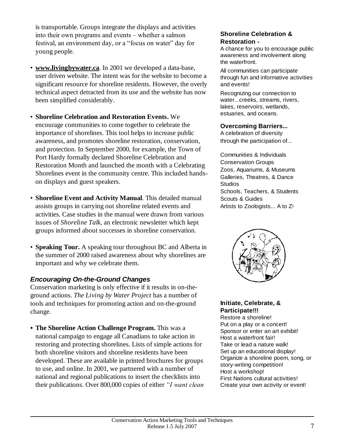is transportable. Groups integrate the displays and activities into their own programs and events – whether a salmon festival, an environment day, or a "focus on water" day for young people.

- •**www.livingbywater.ca**. In 2001 we developed a data-base, user driven website. The intent was for the website to become a significant resource for shoreline residents. However, the overly technical aspect detracted from its use and the website has now been simplified considerably.
- •**Shoreline Celebration and Restoration Events.** We encourage communities to come together to celebrate the importance of shorelines. This tool helps to increase public awareness, and promotes shoreline restoration, conservation, and protection. In September 2000, for example, the Town of Port Hardy formally declared Shoreline Celebration and Restoration Month and launched the month with a Celebrating Shorelines event in the community centre. This included handson displays and guest speakers.
- •**Shoreline Event and Activity Manual**. This detailed manual assists groups in carrying out shoreline related events and activities. Case studies in the manual were drawn from various issues of *Shoreline Talk*, an electronic newsletter which kept groups informed about successes in shoreline conservation.
- •**Speaking Tour.** A speaking tour throughout BC and Alberta in the summer of 2000 raised awareness about why shorelines are important and why we celebrate them.

#### *Encouraging On-the-Ground Changes*

Conservation marketing is only effective if it results in on-theground actions. *The Living by Water Project* has a number of tools and techniques for promoting action and on-the-ground change.

**The Shoreline Action Challenge Program.** This was a national campaign to engage all Canadians to take action in restoring and protecting shorelines. Lists of simple actions for both shoreline visitors and shoreline residents have been developed. These are available in printed brochures for groups to use, and online. In 2001, we partnered with a number of national and regional publications to insert the checklists into their publications. Over 800,000 copies of either *"I want clean* 

#### **Shoreline Celebration & Restoration -**

A chance for you to encourage public awareness and involvement along the waterfront.

All communities can participate through fun and informative activities and events!

Recognizing our connection to water...creeks, streams, rivers, lakes, reservoirs, wetlands, estuaries, and oceans.

#### **Overcoming Barriers...**

A celebration of diversity through the participation of...

Communities & Individuals Conservation Groups Zoos, Aquariums, & Museums Galleries, Theatres, & Dance Studios Schools, Teachers, & Students Scouts & Guides Artists to Zoologists... A to Z!



#### **Initiate, Celebrate, & Participate!!!**

Restore a shoreline! Put on a play or a concert! Sponsor or enter an art exhibit! Host a waterfront fair! Take or lead a nature walk! Set up an educational display! Organize a shoreline poem, song, or story-writing competition! Host a workshop! First Nations cultural activities! Create your own activity or event!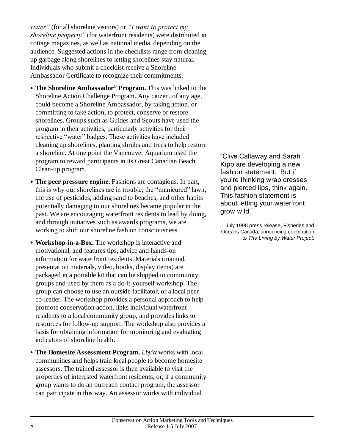*water*" (for all shoreline visitors) or "*I want to protect my shoreline property"* (for waterfront residents) were distributed in cottage magazines, as well as national media, depending on the audience. Suggested actions in the checklists range from cleaning up garbage along shorelines to letting shorelines stay natural. Individuals who submit a checklist receive a Shoreline Ambassador Certificate to recognize their commitments.

- **The Shoreline Ambassador© Program.** This was linked to the Shoreline Action Challenge Program. Any citizen, of any age, could become a Shoreline Ambassador, by taking action, or committing to take action, to protect, conserve or restore shorelines. Groups such as Guides and Scouts have used the program in their activities, particularly activities for their respective "water" badges. These activities have included cleaning up shorelines, planting shrubs and trees to help restore a shoreline. At one point the Vancouver Aquarium used the program to reward participants in its Great Canadian Beach Clean-up program.
- **The peer pressure engine.** Fashions are contagious. In part, this is why our shorelines are in trouble; the "manicured" lawn, the use of pesticides, adding sand to beaches, and other habits potentially damaging to our shorelines became popular in the past. We are encouraging waterfront residents to lead by doing, and through initiatives such as awards programs, we are working to shift our shoreline fashion consciousness.
- **Workshop-in-a-Box.** The workshop is interactive and motivational, and features tips, advice and hands-on information for waterfront residents. Materials (manual, presentation materials, video, books, display items) are packaged in a portable kit that can be shipped to community groups and used by them as a do-it-yourself workshop. The group can choose to use an outside facilitator, or a local peer co-leader. The workshop provides a personal approach to help promote conservation action, links individual waterfront residents to a local community group, and provides links to resources for follow-up support. The workshop also provides a basis for obtaining information for monitoring and evaluating indicators of shoreline health.
- **The Homesite Assessment Program.** *LbyW* works with local communities and helps train local people to become homesite assessors. The trained assessor is then available to visit the properties of interested waterfront residents, or, if a community group wants to do an outreach contact program, the assessor can participate in this way. An assessor works with individual

"Clive Callaway and Sarah Kipp are developing a new fashion statement. But if you're thinking wrap dresses and pierced lips, think again. This fashion statement is about letting your waterfront grow wild."

July 1998 press release, Fisheries and Oceans Canada, announcing contribution to *The Living by Water Project*.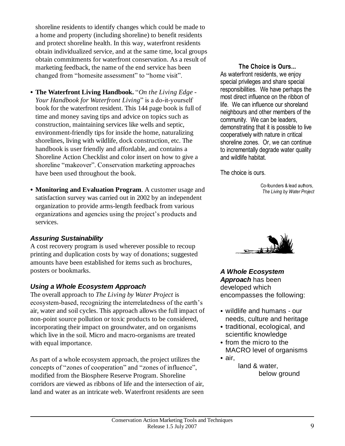shoreline residents to identify changes which could be made to a home and property (including shoreline) to benefit residents and protect shoreline health. In this way, waterfront residents obtain individualized service, and at the same time, local groups obtain commitments for waterfront conservation. As a result of marketing feedback, the name of the end service has been changed from "homesite assessment" to "home visit".

- **The Waterfront Living Handbook.** "*On the Living Edge -* Your Handbook for Waterfront Living" is a do-it-yourself book for the waterfront resident. This 144 page book is full of time and money saving tips and advice on topics such as construction, maintaining services like wells and septic, environment-friendly tips for inside the home, naturalizing shorelines, living with wildlife, dock construction, etc. The handbook is user friendly and affordable, and contains a Shoreline Action Checklist and color insert on how to give a shoreline "makeover". Conservation marketing approaches have been used throughout the book.
- **Monitoring and Evaluation Program**. A customer usage and satisfaction survey was carried out in 2002 by an independent organization to provide arms-length feedback from various organizations and agencies using the project's products and services.

#### *Assuring Sustainability*

A cost recovery program is used wherever possible to recoup printing and duplication costs by way of donations; suggested amounts have been established for items such as brochures, posters or bookmarks.

#### *Using a Whole Ecosystem Approach*

The overall approach to *The Living by Water Project* is ecosystem-based, recognizing the interrelatedness of the earth's air, water and soil cycles. This approach allows the full impact of non-point source pollution or toxic products to be considered, incorporating their impact on groundwater, and on organisms which live in the soil. Micro and macro-organisms are treated with equal importance.

As part of a whole ecosystem approach, the project utilizes the concepts of "zones of cooperation" and "zones of influence", modified from the Biosphere Reserve Program. Shoreline corridors are viewed as ribbons of life and the intersection of air, land and water as an intricate web. Waterfront residents are seen

#### **The Choice is Ours...**

As waterfront residents, we enjoy special privileges and share special responsibilities. We have perhaps the most direct influence on the ribbon of life. We can influence our shoreland neighbours and other members of the community. We can be leaders, demonstrating that it is possible to live cooperatively with nature in critical shoreline zones. Or, we can continue to incrementally degrade water quality and wildlife habitat.

The choice is ours.

Co-founders & lead authors, *The Living by Water Project*



*A Whole Ecosystem Approach* has been developed which encompasses the following:

- wildlife and humans our needs, culture and heritage
- traditional, ecological, and scientific knowledge
- from the micro to the MACRO level of organisms
- air, land & water, below ground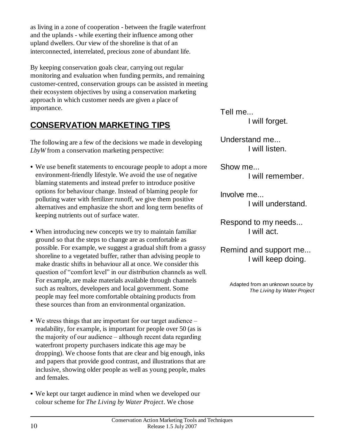as living in a zone of cooperation - between the fragile waterfront and the uplands - while exerting their influence among other upland dwellers. Our view of the shoreline is that of an interconnected, interrelated, precious zone of abundant life.

By keeping conservation goals clear, carrying out regular monitoring and evaluation when funding permits, and remaining customer-centred, conservation groups can be assisted in meeting their ecosystem objectives by using a conservation marketing approach in which customer needs are given a place of importance.

## **CONSERVATION MARKETING TIPS**

The following are a few of the decisions we made in developing *LbyW* from a conservation marketing perspective:

- We use benefit statements to encourage people to adopt a more environment-friendly lifestyle. We avoid the use of negative blaming statements and instead prefer to introduce positive options for behaviour change. Instead of blaming people for polluting water with fertilizer runoff, we give them positive alternatives and emphasize the short and long term benefits of keeping nutrients out of surface water.
- When introducing new concepts we try to maintain familiar ground so that the steps to change are as comfortable as possible. For example, we suggest a gradual shift from a grassy shoreline to a vegetated buffer, rather than advising people to make drastic shifts in behaviour all at once. We consider this question of "comfort level" in our distribution channels as well. For example, are make materials available through channels such as realtors, developers and local government. Some people may feel more comfortable obtaining products from these sources than from an environmental organization.
- We stress things that are important for our target audience readability, for example, is important for people over 50 (as is the majority of our audience – although recent data regarding waterfront property purchasers indicate this age may be dropping). We choose fonts that are clear and big enough, inks and papers that provide good contrast, and illustrations that are inclusive, showing older people as well as young people, males and females.
- We kept our target audience in mind when we developed our colour scheme for *The Living by Water Project*. We chose

Tell me... I will forget.

Understand me... I will listen.

Show me... I will remember.

Involve me... I will understand.

Respond to my needs... I will act.

Remind and support me... I will keep doing.

> Adapted from an unknown source by *The Living by Water Project*